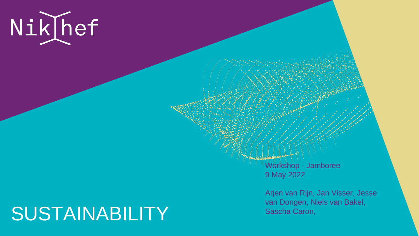

# SUSTAINABILITY

Workshop - Jamboree 9 May 2022

Arjen van Rijn, Jan Visser, Jesse van Dongen, Niels van Bakel, Sascha Caron,

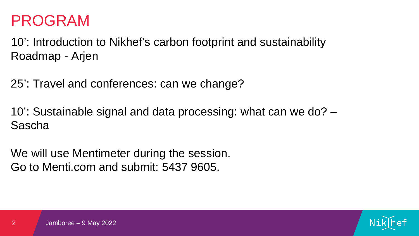- 
- 





## PROGRAM

10': Introduction to Nikhef's carbon footprint and sustainability Roadmap - Arjen

25': Travel and conferences: can we change?

We will use Mentimeter during the session. Go to Menti.com and submit: 5437 9605.

10': Sustainable signal and data processing: what can we do? – Sascha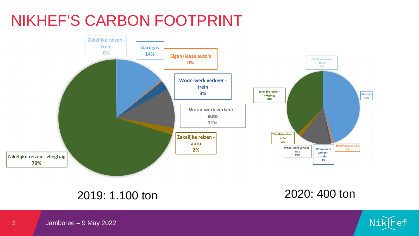3 Jamboree – 9 May 2022





# NIKHEF'S CARBON FOOTPRINT



### 2019: 1.100 ton 2020: 400 ton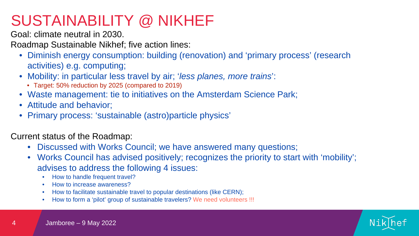





Goal: climate neutral in 2030.

Roadmap Sustainable Nikhef; five action lines:

- Diminish energy consumption: building (renovation) and 'primary process' (research activities) e.g. computing;
- Mobility: in particular less travel by air; '*less planes, more trains*':
	- Target: 50% reduction by 2025 (compared to 2019)
- Waste management: tie to initiatives on the Amsterdam Science Park;
- Attitude and behavior;
- Primary process: 'sustainable (astro)particle physics'

- advises to address the following 4 issues:
- Discussed with Works Council; we have answered many questions; • Works Council has advised positively; recognizes the priority to start with 'mobility';
	- How to handle frequent travel?
	- How to increase awareness?
	- How to facilitate sustainable travel to popular destinations (like CERN); • How to form a 'pilot' group of sustainable travelers? We need volunteers !!!
	-

Current status of the Roadmap:

# SUSTAINABILITY @ NIKHEF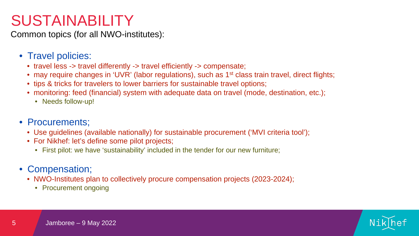

Common topics (for all NWO-institutes):

- Travel policies:
	- travel less -> travel differently -> travel efficiently -> compensate; • may require changes in 'UVR' (labor regulations), such as 1<sup>st</sup> class train travel, direct flights; • tips & tricks for travelers to lower barriers for sustainable travel options; • monitoring: feed (financial) system with adequate data on travel (mode, destination, etc.);
	-
	-
	- - Needs follow-up!
- Procurements;
	- Use guidelines (available nationally) for sustainable procurement ('MVI criteria tool');
	- For Nikhef: let's define some pilot projects;
		- First pilot: we have 'sustainability' included in the tender for our new furniture;
- Compensation;
	- NWO-Institutes plan to collectively procure compensation projects (2023-2024);
		- Procurement ongoing

# SUSTAINABILITY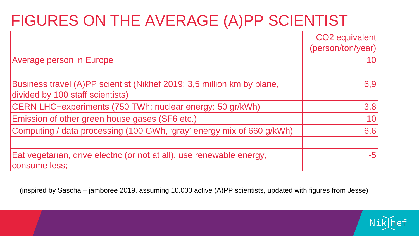# FIGURES ON THE AVERAGE (A)PP SCIENTIST

Average person in Europe

(inspired by Sascha – jamboree 2019, assuming 10.000 active (A)PP scientists, updated with figures from Jesse)

Business travel (A)PP scientist (Nikhef 2019: 3,5 divided by 100 staff scientists)

CERN LHC+experiments (750 TWh; nuclear ene

Emission of other green house gases (SF6 etc.)

Computing / data processing (100 GWh, 'gray' energy many of 660 g/kg/mix of 660 g/kg/mix of 660 g/kg/kg/kg/kg/

Eat vegetarian, drive electric (or not at all), use renewable to the energy of the energy of the energy of the  $\epsilon$ consume less;

|                          | CO <sub>2</sub> equivalent<br>(person/ton/year) |
|--------------------------|-------------------------------------------------|
|                          |                                                 |
|                          |                                                 |
| 5 million km by plane,   | 6,9                                             |
| ergy: 50 gr/kWh)         | 3,8                                             |
|                          |                                                 |
| energy mix of 660 g/kWh) | 6,6                                             |
|                          |                                                 |
| renewable energy,        |                                                 |

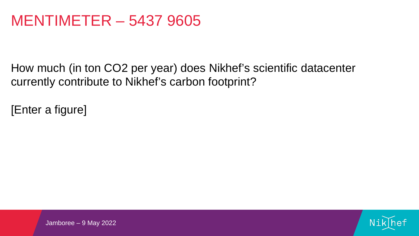How much (in ton CO2 per year) does Nikhef's scientific datacenter currently contribute to Nikhef's carbon footprint?

[Enter a figure]





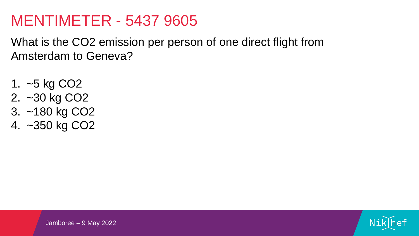What is the CO2 emission per person of one direct flight from Amsterdam to Geneva?

- 1. ~5 kg CO2 2. ~30 kg CO2
- 3. ~180 kg CO2
- 4. ~350 kg CO2





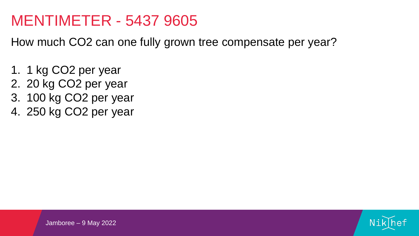How much CO2 can one fully grown tree compensate per year?

- 1. 1 kg CO2 per year
- 2. 20 kg CO2 per year
- 3. 100 kg CO2 per year
- 4. 250 kg CO2 per year





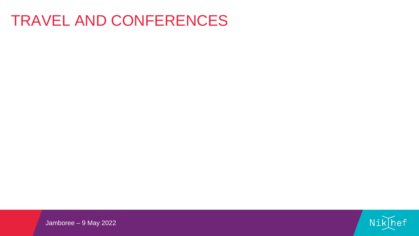## TRAVEL AND CONFERENCES





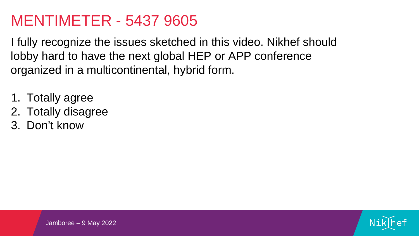I fully recognize the issues sketched in this video. Nikhef should lobby hard to have the next global HEP or APP conference organized in a multicontinental, hybrid form.

- 1. Totally agree
- 2. Totally disagree
- 3. Don't know





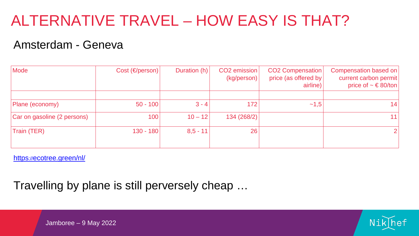# ALTERNATIVE TRAVEL – HOW EASY IS THAT?

| Mode                        | Cost (€/person) | Duration (h) | CO <sub>2</sub> emission<br>(kg/person) | <b>CO2 Compensation</b><br>price (as offered by<br>airline) | <b>Compensation based on</b><br>current carbon permit<br>price of $~$ ∈ 80/ton |
|-----------------------------|-----------------|--------------|-----------------------------------------|-------------------------------------------------------------|--------------------------------------------------------------------------------|
|                             |                 |              |                                         |                                                             |                                                                                |
| Plane (economy)             | $50 - 100$      | $3 - 4$      | 172                                     | $\sim 1,5$                                                  | 14                                                                             |
| Car on gasoline (2 persons) | 100             | $10 - 12$    | 134 (268/2)                             |                                                             | 11                                                                             |
| Train (TER)                 | $130 - 180$     | $8,5 - 11$   | 26                                      |                                                             | $\overline{2}$                                                                 |

### Amsterdam - Geneva

Travelling by plane is still perversely cheap …

Jamboree – 9 May 2022





[https://ecotree.green/nl/](https://ecotree.green/nl/calculate-train-co2#result)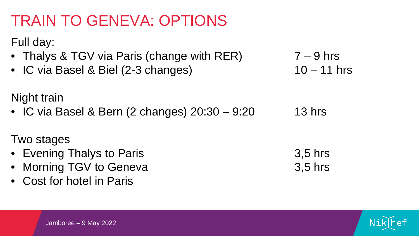# TRAIN TO GENEVA: OPTIONS

### Full day:

- Thalys & TGV via Paris (change with  $RER$ ) 7 9 hrs
- IC via Basel & Biel  $(2-3 \text{ changes})$  10 11 hrs

### Night train

• IC via Basel & Bern (2 changes) 20:30 – 9:20 13 hrs

- Evening Thalys to Paris 3,5 hrs
- Morning TGV to Geneva 3,5 hrs
- Cost for hotel in Paris

### Two stages





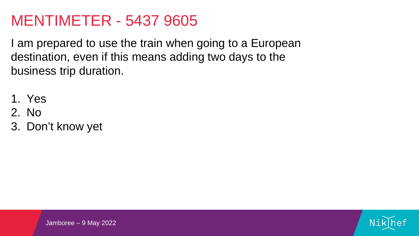I am prepared to use the train when going to a European destination, even if this means adding two days to the business trip duration.

- 1. Yes
- 2. No
- 3. Don't know yet





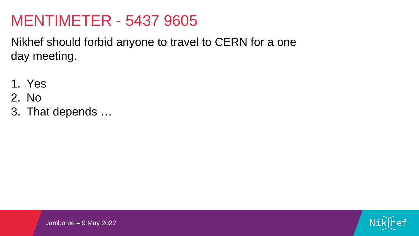Nikhef should forbid anyone to travel to CERN for a one day meeting.

- 1. Yes
- 2. No
- 3. That depends …





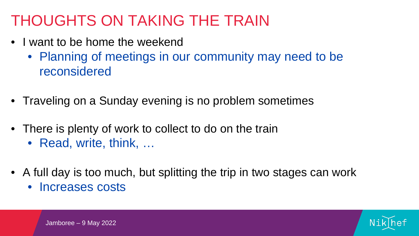# THOUGHTS ON TAKING THE TRAIN

- I want to be home the weekend
	- Planning of meetings in our community may need to be reconsidered
- Traveling on a Sunday evening is no problem sometimes
- There is plenty of work to collect to do on the train • Read, write, think, …
- A full day is too much, but splitting the trip in two stages can work • Increases costs

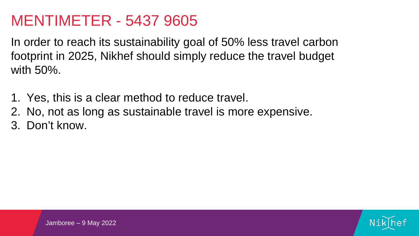In order to reach its sustainability goal of 50% less travel carbon footprint in 2025, Nikhef should simply reduce the travel budget with 50%.

1. Yes, this is a clear method to reduce travel. 2. No, not as long as sustainable travel is more expensive. 3. Don't know.





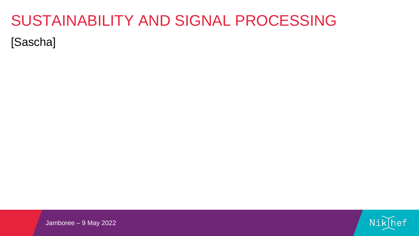# SUSTAINABILITY AND SIGNAL PROCESSING [Sascha]